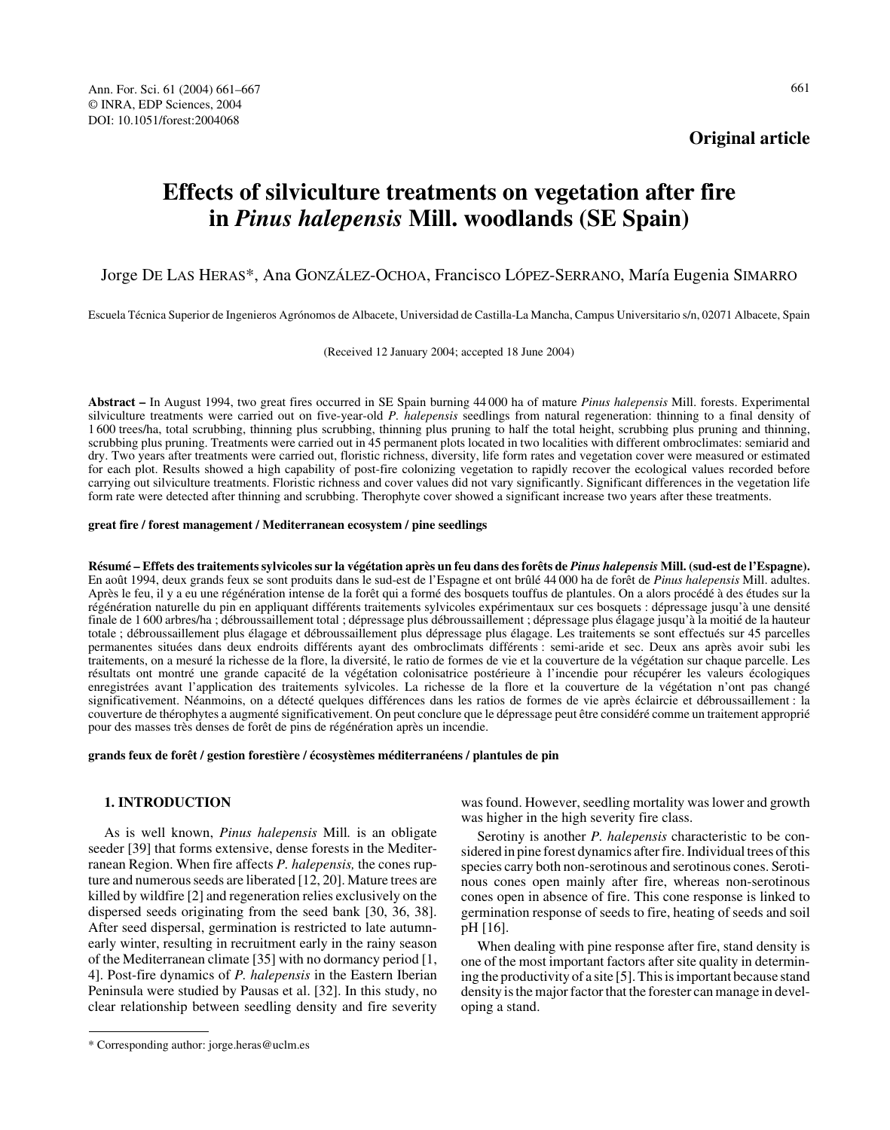## **Original article**

# **Effects of silviculture treatments on vegetation after fire in** *Pinus halepensis* **Mill. woodlands (SE Spain)**

## Jorge DE LAS HERAS\*, Ana GONZÁLEZ-OCHOA, Francisco LÓPEZ-SERRANO, María Eugenia SIMARRO

Escuela Técnica Superior de Ingenieros Agrónomos de Albacete, Universidad de Castilla-La Mancha, Campus Universitario s/n, 02071 Albacete, Spain

(Received 12 January 2004; accepted 18 June 2004)

**Abstract –** In August 1994, two great fires occurred in SE Spain burning 44 000 ha of mature *Pinus halepensis* Mill. forests. Experimental silviculture treatments were carried out on five-year-old *P. halepensis* seedlings from natural regeneration: thinning to a final density of 1 600 trees/ha, total scrubbing, thinning plus scrubbing, thinning plus pruning to half the total height, scrubbing plus pruning and thinning, scrubbing plus pruning. Treatments were carried out in 45 permanent plots located in two localities with different ombroclimates: semiarid and dry. Two years after treatments were carried out, floristic richness, diversity, life form rates and vegetation cover were measured or estimated for each plot. Results showed a high capability of post-fire colonizing vegetation to rapidly recover the ecological values recorded before carrying out silviculture treatments. Floristic richness and cover values did not vary significantly. Significant differences in the vegetation life form rate were detected after thinning and scrubbing. Therophyte cover showed a significant increase two years after these treatments.

### **great fire / forest management / Mediterranean ecosystem / pine seedlings**

**Résumé – Effets des traitements sylvicoles sur la végétation après un feu dans des forêts de** *Pinus halepensis* **Mill. (sud-est de l'Espagne).** En août 1994, deux grands feux se sont produits dans le sud-est de l'Espagne et ont brûlé 44 000 ha de forêt de *Pinus halepensis* Mill. adultes. Après le feu, il y a eu une régénération intense de la forêt qui a formé des bosquets touffus de plantules. On a alors procédé à des études sur la régénération naturelle du pin en appliquant différents traitements sylvicoles expérimentaux sur ces bosquets : dépressage jusqu'à une densité finale de 1 600 arbres/ha ; débroussaillement total ; dépressage plus débroussaillement ; dépressage plus élagage jusqu'à la moitié de la hauteur totale ; débroussaillement plus élagage et débroussaillement plus dépressage plus élagage. Les traitements se sont effectués sur 45 parcelles permanentes situées dans deux endroits différents ayant des ombroclimats différents : semi-aride et sec. Deux ans après avoir subi les traitements, on a mesuré la richesse de la flore, la diversité, le ratio de formes de vie et la couverture de la végétation sur chaque parcelle. Les résultats ont montré une grande capacité de la végétation colonisatrice postérieure à l'incendie pour récupérer les valeurs écologiques enregistrées avant l'application des traitements sylvicoles. La richesse de la flore et la couverture de la végétation n'ont pas changé significativement. Néanmoins, on a détecté quelques différences dans les ratios de formes de vie après éclaircie et débroussaillement : la couverture de thérophytes a augmenté significativement. On peut conclure que le dépressage peut être considéré comme un traitement approprié pour des masses très denses de forêt de pins de régénération après un incendie.

### **grands feux de forêt / gestion forestière / écosystèmes méditerranéens / plantules de pin**

## **1. INTRODUCTION**

As is well known, *Pinus halepensis* Mill*.* is an obligate seeder [39] that forms extensive, dense forests in the Mediterranean Region. When fire affects *P. halepensis,* the cones rupture and numerous seeds are liberated [12, 20]. Mature trees are killed by wildfire [2] and regeneration relies exclusively on the dispersed seeds originating from the seed bank [30, 36, 38]. After seed dispersal, germination is restricted to late autumnearly winter, resulting in recruitment early in the rainy season of the Mediterranean climate [35] with no dormancy period [1, 4]. Post-fire dynamics of *P. halepensis* in the Eastern Iberian Peninsula were studied by Pausas et al. [32]. In this study, no clear relationship between seedling density and fire severity

was found. However, seedling mortality was lower and growth was higher in the high severity fire class.

Serotiny is another *P. halepensis* characteristic to be considered in pine forest dynamics after fire. Individual trees of this species carry both non-serotinous and serotinous cones. Serotinous cones open mainly after fire, whereas non-serotinous cones open in absence of fire. This cone response is linked to germination response of seeds to fire, heating of seeds and soil pH [16].

When dealing with pine response after fire, stand density is one of the most important factors after site quality in determining the productivity of a site [5]. This is important because stand density is the major factor that the forester can manage in developing a stand.

<sup>\*</sup> Corresponding author: jorge.heras@uclm.es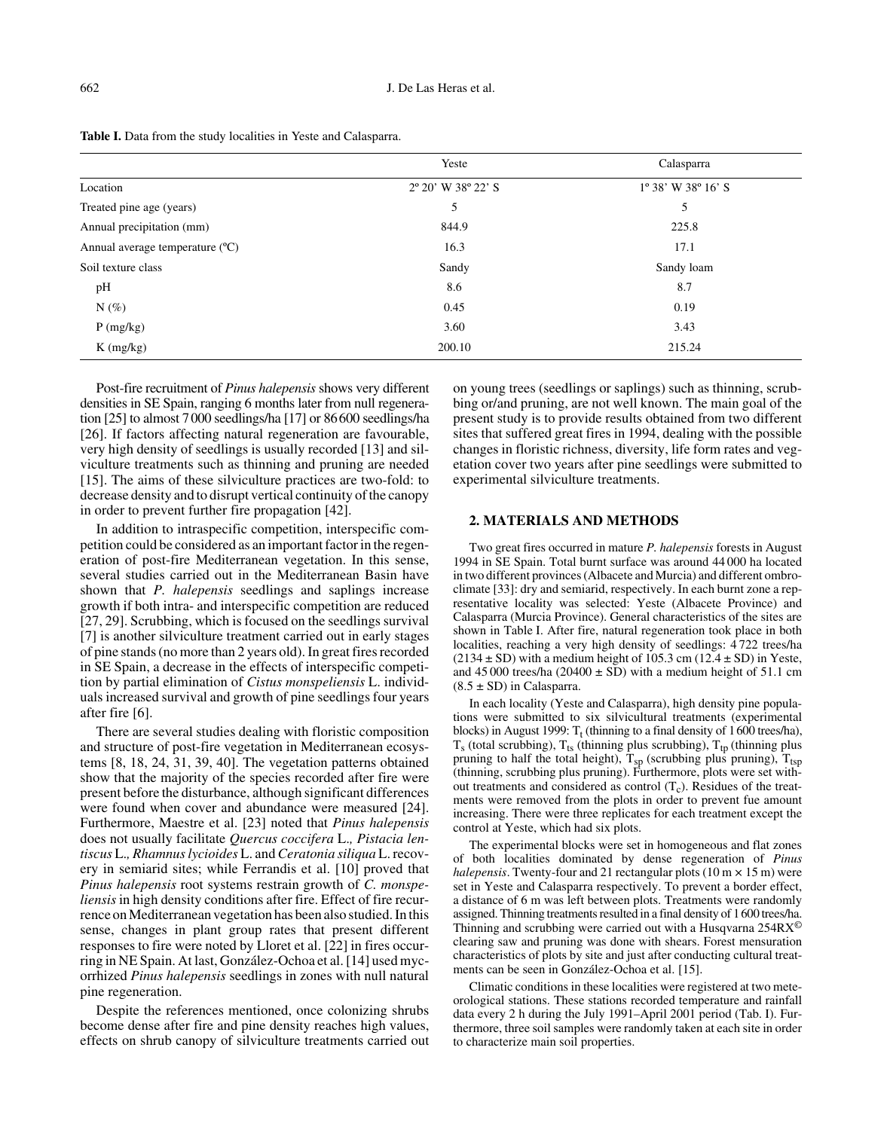|                                 | Yeste                                 | Calasparra                           |  |
|---------------------------------|---------------------------------------|--------------------------------------|--|
| Location                        | $2^{\circ} 20'$ W 38 $^{\circ} 22'$ S | $1^{\circ} 38'$ W $38^{\circ} 16'$ S |  |
| Treated pine age (years)        | 5                                     | 5                                    |  |
| Annual precipitation (mm)       | 844.9                                 | 225.8                                |  |
| Annual average temperature (°C) | 16.3                                  | 17.1                                 |  |
| Soil texture class              | Sandy                                 | Sandy loam                           |  |
| pH                              | 8.6                                   | 8.7                                  |  |
| $N(\%)$                         | 0.45                                  | 0.19                                 |  |
| P(mg/kg)                        | 3.60                                  | 3.43                                 |  |
| $K$ (mg/kg)                     | 200.10                                | 215.24                               |  |

Table I. Data from the study localities in Yeste and Calasparra.

Post-fire recruitment of *Pinus halepensis* shows very different densities in SE Spain, ranging 6 months later from null regeneration [25] to almost 7000 seedlings/ha [17] or 86600 seedlings/ha [26]. If factors affecting natural regeneration are favourable, very high density of seedlings is usually recorded [13] and silviculture treatments such as thinning and pruning are needed [15]. The aims of these silviculture practices are two-fold: to decrease density and to disrupt vertical continuity of the canopy in order to prevent further fire propagation [42].

In addition to intraspecific competition, interspecific competition could be considered as an important factor in the regeneration of post-fire Mediterranean vegetation. In this sense, several studies carried out in the Mediterranean Basin have shown that *P. halepensis* seedlings and saplings increase growth if both intra- and interspecific competition are reduced [27, 29]. Scrubbing, which is focused on the seedlings survival [7] is another silviculture treatment carried out in early stages of pine stands (no more than 2 years old). In great fires recorded in SE Spain, a decrease in the effects of interspecific competition by partial elimination of *Cistus monspeliensis* L. individuals increased survival and growth of pine seedlings four years after fire [6].

There are several studies dealing with floristic composition and structure of post-fire vegetation in Mediterranean ecosystems [8, 18, 24, 31, 39, 40]. The vegetation patterns obtained show that the majority of the species recorded after fire were present before the disturbance, although significant differences were found when cover and abundance were measured [24]. Furthermore, Maestre et al. [23] noted that *Pinus halepensis* does not usually facilitate *Quercus coccifera* L.*, Pistacia lentiscus* L.*, Rhamnus lycioides* L. and *Ceratonia siliqua* L. recovery in semiarid sites; while Ferrandis et al. [10] proved that *Pinus halepensis* root systems restrain growth of *C. monspeliensis* in high density conditions after fire. Effect of fire recurrence on Mediterranean vegetation has been also studied. In this sense, changes in plant group rates that present different responses to fire were noted by Lloret et al. [22] in fires occurring in NE Spain. At last, González-Ochoa et al. [14] used mycorrhized *Pinus halepensis* seedlings in zones with null natural pine regeneration.

Despite the references mentioned, once colonizing shrubs become dense after fire and pine density reaches high values, effects on shrub canopy of silviculture treatments carried out on young trees (seedlings or saplings) such as thinning, scrubbing or/and pruning, are not well known. The main goal of the present study is to provide results obtained from two different sites that suffered great fires in 1994, dealing with the possible changes in floristic richness, diversity, life form rates and vegetation cover two years after pine seedlings were submitted to experimental silviculture treatments.

## **2. MATERIALS AND METHODS**

Two great fires occurred in mature *P. halepensis* forests in August 1994 in SE Spain. Total burnt surface was around 44 000 ha located in two different provinces (Albacete and Murcia) and different ombroclimate [33]: dry and semiarid, respectively. In each burnt zone a representative locality was selected: Yeste (Albacete Province) and Calasparra (Murcia Province). General characteristics of the sites are shown in Table I. After fire, natural regeneration took place in both localities, reaching a very high density of seedlings: 4 722 trees/ha  $(2134 \pm SD)$  with a medium height of 105.3 cm  $(12.4 \pm SD)$  in Yeste, and 45 000 trees/ha  $(20400 \pm SD)$  with a medium height of 51.1 cm  $(8.5 \pm SD)$  in Calasparra.

In each locality (Yeste and Calasparra), high density pine populations were submitted to six silvicultural treatments (experimental blocks) in August 1999:  $T_t$  (thinning to a final density of 1600 trees/ha),  $T_s$  (total scrubbing),  $T_{ts}$  (thinning plus scrubbing),  $T_{tp}$  (thinning plus pruning to half the total height),  $T_{sp}$  (scrubbing plus pruning),  $T_{tsp}$ (thinning, scrubbing plus pruning). Furthermore, plots were set without treatments and considered as control  $(T_c)$ . Residues of the treatments were removed from the plots in order to prevent fue amount increasing. There were three replicates for each treatment except the control at Yeste, which had six plots.

The experimental blocks were set in homogeneous and flat zones of both localities dominated by dense regeneration of *Pinus halepensis*. Twenty-four and 21 rectangular plots  $(10 \text{ m} \times 15 \text{ m})$  were set in Yeste and Calasparra respectively. To prevent a border effect, a distance of 6 m was left between plots. Treatments were randomly assigned. Thinning treatments resulted in a final density of 1600 trees/ha. Thinning and scrubbing were carried out with a Husqvarna  $254RX^{\circ}$ clearing saw and pruning was done with shears. Forest mensuration characteristics of plots by site and just after conducting cultural treatments can be seen in González-Ochoa et al. [15].

Climatic conditions in these localities were registered at two meteorological stations. These stations recorded temperature and rainfall data every 2 h during the July 1991–April 2001 period (Tab. I). Furthermore, three soil samples were randomly taken at each site in order to characterize main soil properties.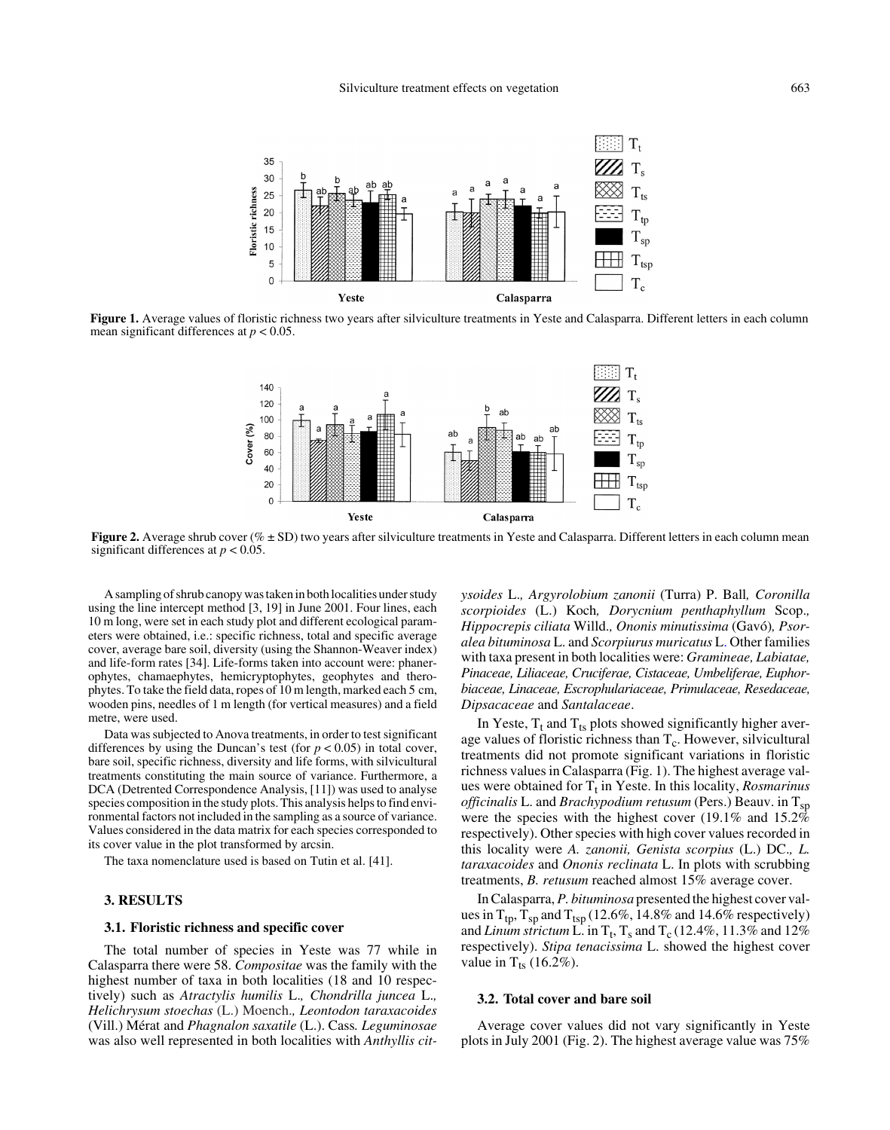

Figure 1. Average values of floristic richness two years after silviculture treatments in Yeste and Calasparra. Different letters in each column mean significant differences at *p* < 0.05.



**Figure 2.** Average shrub cover ( $\% \pm SD$ ) two years after silviculture treatments in Yeste and Calasparra. Different letters in each column mean significant differences at  $p < 0.05$ .

A sampling of shrub canopy was taken in both localities under study using the line intercept method [3, 19] in June 2001. Four lines, each 10 m long, were set in each study plot and different ecological parameters were obtained, i.e.: specific richness, total and specific average cover, average bare soil, diversity (using the Shannon-Weaver index) and life-form rates [34]. Life-forms taken into account were: phanerophytes, chamaephytes, hemicryptophytes, geophytes and therophytes. To take the field data, ropes of 10 m length, marked each 5 cm, wooden pins, needles of 1 m length (for vertical measures) and a field metre, were used.

Data was subjected to Anova treatments, in order to test significant differences by using the Duncan's test (for  $p < 0.05$ ) in total cover, bare soil, specific richness, diversity and life forms, with silvicultural treatments constituting the main source of variance. Furthermore, a DCA (Detrented Correspondence Analysis, [11]) was used to analyse species composition in the study plots. This analysis helps to find environmental factors not included in the sampling as a source of variance. Values considered in the data matrix for each species corresponded to its cover value in the plot transformed by arcsin.

The taxa nomenclature used is based on Tutin et al. [41].

## **3. RESULTS**

## **3.1. Floristic richness and specific cover**

The total number of species in Yeste was 77 while in Calasparra there were 58. *Compositae* was the family with the highest number of taxa in both localities (18 and 10 respectively) such as *Atractylis humilis* L.*, Chondrilla juncea* L.*, Helichrysum stoechas* (L.) Moench.*, Leontodon taraxacoides* (Vill.) Mérat and *Phagnalon saxatile* (L.). Cass*. Leguminosae* was also well represented in both localities with *Anthyllis cit-* *ysoides* L.*, Argyrolobium zanonii* (Turra) P. Ball*, Coronilla scorpioides* (L.) Koch*, Dorycnium penthaphyllum* Scop.*, Hippocrepis ciliata* Willd.*, Ononis minutissima* (Gavó)*, Psoralea bituminosa* L. and *Scorpiurus muricatus* L. Other families with taxa present in both localities were: *Gramineae, Labiatae, Pinaceae, Liliaceae, Cruciferae, Cistaceae, Umbeliferae, Euphorbiaceae, Linaceae, Escrophulariaceae, Primulaceae, Resedaceae, Dipsacaceae* and *Santalaceae*.

In Yeste,  $T_t$  and  $T_{ts}$  plots showed significantly higher average values of floristic richness than  $T_c$ . However, silvicultural treatments did not promote significant variations in floristic richness values in Calasparra (Fig. 1). The highest average values were obtained for T<sub>t</sub> in Yeste. In this locality, *Rosmarinus officinalis* L. and *Brachypodium retusum* (Pers.) Beauv. in T<sub>sp</sub> were the species with the highest cover (19.1% and  $15.2\%$ respectively). Other species with high cover values recorded in this locality were *A. zanonii, Genista scorpius* (L.) DC.*, L. taraxacoides* and *Ononis reclinata* L. In plots with scrubbing treatments, *B. retusum* reached almost 15% average cover.

In Calasparra, *P. bituminosa* presented the highest cover values in  $T_{tp}$ ,  $T_{sp}$  and  $T_{tsp}$  (12.6%, 14.8% and 14.6% respectively) and *Linum strictum* L. in  $T_t$ ,  $T_s$  and  $T_c$  (12.4%, 11.3% and 12%) respectively). *Stipa tenacissima* L. showed the highest cover value in  $T_{ts}$  (16.2%).

## **3.2. Total cover and bare soil**

Average cover values did not vary significantly in Yeste plots in July 2001 (Fig. 2). The highest average value was 75%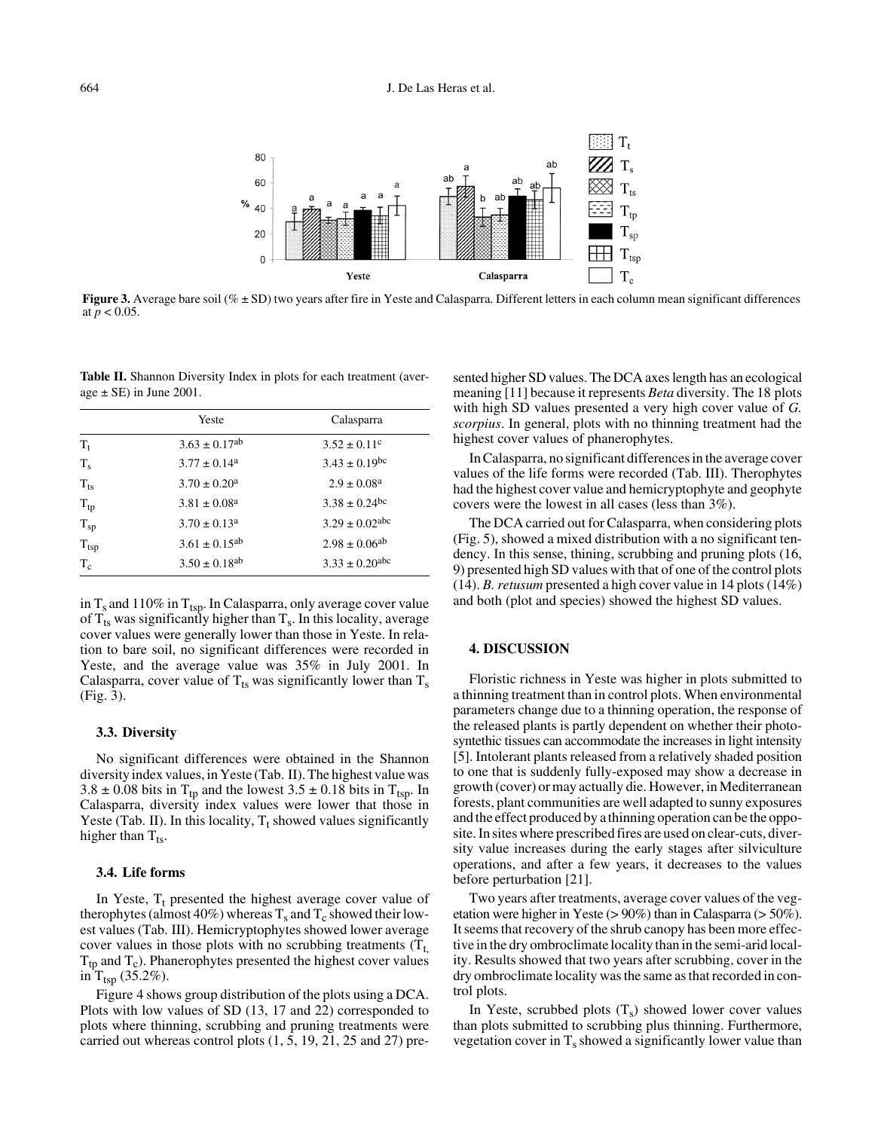

**Figure 3.** Average bare soil (%  $\pm$  SD) two years after fire in Yeste and Calasparra. Different letters in each column mean significant differences at  $p < 0.05$ .

**Table II.** Shannon Diversity Index in plots for each treatment (average  $\pm$  SE) in June 2001.

|             | Yeste                         | Calasparra                     |  |
|-------------|-------------------------------|--------------------------------|--|
| $T_t$       | $3.63 \pm 0.17$ <sup>ab</sup> | $3.52 \pm 0.11$ <sup>c</sup>   |  |
| $T_{\rm s}$ | $3.77 \pm 0.14^{\circ}$       | $3.43 \pm 0.19$ <sup>bc</sup>  |  |
| $T_{ts}$    | $3.70 \pm 0.20^{\circ}$       | $2.9 \pm 0.08^{\text{a}}$      |  |
| $T_{tp}$    | $3.81 \pm 0.08^{\text{a}}$    | $3.38 \pm 0.24$ bc             |  |
| $T_{sp}$    | $3.70 \pm 0.13^a$             | $3.29 \pm 0.02$ abc            |  |
| $T_{tsp}$   | $3.61 \pm 0.15^{ab}$          | $2.98 \pm 0.06^{ab}$           |  |
| $T_c$       | $3.50 \pm 0.18$ <sup>ab</sup> | $3.33 \pm 0.20$ <sup>abc</sup> |  |

in  $T_s$  and 110% in  $T_{tsp}$ . In Calasparra, only average cover value of  $T_{ts}$  was significantly higher than  $T_s$ . In this locality, average cover values were generally lower than those in Yeste. In relation to bare soil, no significant differences were recorded in Yeste, and the average value was 35% in July 2001. In Calasparra, cover value of  $T_{ts}$  was significantly lower than  $T_s$ (Fig. 3).

#### **3.3. Diversity**

No significant differences were obtained in the Shannon diversity index values, in Yeste (Tab. II). The highest value was  $3.8 \pm 0.08$  bits in T<sub>tp</sub> and the lowest  $3.5 \pm 0.18$  bits in T<sub>tsp</sub>. In Calasparra, diversity index values were lower that those in Yeste (Tab. II). In this locality,  $T_t$  showed values significantly higher than  $T_{ts}$ .

#### **3.4. Life forms**

In Yeste,  $T_t$  presented the highest average cover value of therophytes (almost  $40\%$ ) whereas T<sub>s</sub> and T<sub>c</sub> showed their lowest values (Tab. III). Hemicryptophytes showed lower average cover values in those plots with no scrubbing treatments  $(T_t)$  $T_{tp}$  and  $T_c$ ). Phanerophytes presented the highest cover values in  $T_{tsp}$  (35.2%).

Figure 4 shows group distribution of the plots using a DCA. Plots with low values of SD (13, 17 and 22) corresponded to plots where thinning, scrubbing and pruning treatments were carried out whereas control plots (1, 5, 19, 21, 25 and 27) pre-

sented higher SD values. The DCA axes length has an ecological meaning [11] because it represents *Beta* diversity. The 18 plots with high SD values presented a very high cover value of *G. scorpius*. In general, plots with no thinning treatment had the highest cover values of phanerophytes.

In Calasparra, no significant differences in the average cover values of the life forms were recorded (Tab. III). Therophytes had the highest cover value and hemicryptophyte and geophyte covers were the lowest in all cases (less than 3%).

The DCA carried out for Calasparra, when considering plots (Fig. 5), showed a mixed distribution with a no significant tendency. In this sense, thining, scrubbing and pruning plots (16, 9) presented high SD values with that of one of the control plots (14). *B. retusum* presented a high cover value in 14 plots (14%) and both (plot and species) showed the highest SD values.

## **4. DISCUSSION**

Floristic richness in Yeste was higher in plots submitted to a thinning treatment than in control plots. When environmental parameters change due to a thinning operation, the response of the released plants is partly dependent on whether their photosyntethic tissues can accommodate the increases in light intensity [5]. Intolerant plants released from a relatively shaded position to one that is suddenly fully-exposed may show a decrease in growth (cover) or may actually die. However, in Mediterranean forests, plant communities are well adapted to sunny exposures and the effect produced by a thinning operation can be the opposite. In sites where prescribed fires are used on clear-cuts, diversity value increases during the early stages after silviculture operations, and after a few years, it decreases to the values before perturbation [21].

Two years after treatments, average cover values of the vegetation were higher in Yeste ( $> 90\%$ ) than in Calasparra ( $> 50\%$ ). It seems that recovery of the shrub canopy has been more effective in the dry ombroclimate locality than in the semi-arid locality. Results showed that two years after scrubbing, cover in the dry ombroclimate locality was the same as that recorded in control plots.

In Yeste, scrubbed plots  $(T_s)$  showed lower cover values than plots submitted to scrubbing plus thinning. Furthermore, vegetation cover in  $T_s$  showed a significantly lower value than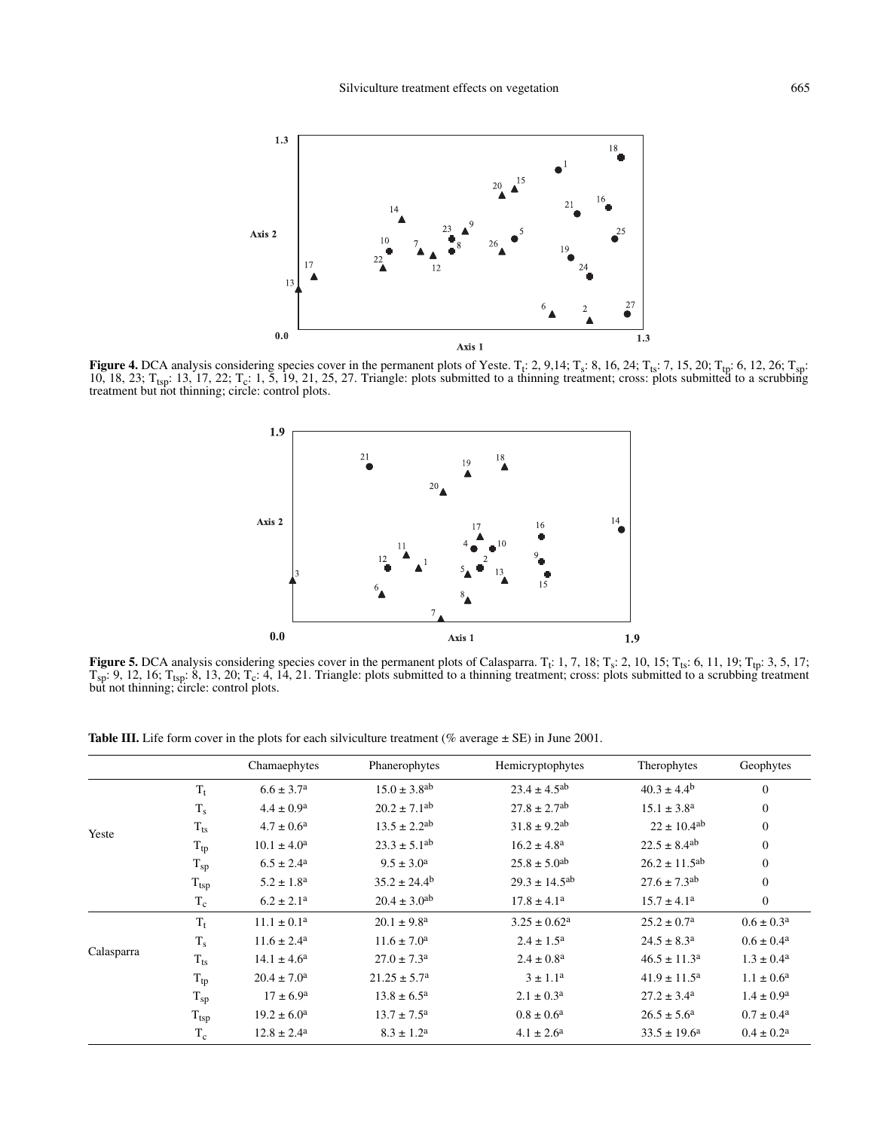

**Figure 4.** DCA analysis considering species cover in the permanent plots of Yeste.  $T_f$ : 2, 9,14;  $T_s$ : 8, 16, 24;  $T_{ts}$ : 7, 15, 20;  $T_{tp}$ : 6, 12, 26;  $T_{sp}$ : 10, 18, 23;  $T_{\text{tsp}}$ : 13, 17, 22;  $T_c$ : 1, 5, 19, 21, 25, 27. Triangle: plots submitted to a thinning treatment; cross: plots submitted to a scrubbing treatment but not thinning; circle: control plots.



**Figure 5.** DCA analysis considering species cover in the permanent plots of Calasparra.  $T_t$ : 1, 7, 18;  $T_s$ : 2, 10, 15;  $T_{ts}$ : 6, 11, 19;  $T_{tp}$ : 3, 5, 17;  $T_{sp}: 9, 12, 16$ ;  $T_{tsp}: 8, 13, 20$ ;  $T_c: 4, 14, 21$ . Triangle: plots submitted to a thinning treatment; cross: plots submitted to a scrubbing treatment but not thinning; circle: control plots.

Table III. Life form cover in the plots for each silviculture treatment (% average  $\pm$  SE) in June 2001.

|            |                  | Chamaephytes              | Phanerophytes                | Hemicryptophytes              | Therophytes                   | Geophytes                |
|------------|------------------|---------------------------|------------------------------|-------------------------------|-------------------------------|--------------------------|
| Yeste      | $T_t$            | $6.6 \pm 3.7^{\rm a}$     | $15.0 \pm 3.8$ <sup>ab</sup> | $23.4 \pm 4.5^{ab}$           | $40.3 \pm 4.4^{\rm b}$        | $\mathbf{0}$             |
|            | $T_s$            | $4.4 \pm 0.9^{\rm a}$     | $20.2 \pm 7.1$ <sup>ab</sup> | $27.8 \pm 2.7$ <sup>ab</sup>  | $15.1 \pm 3.8^{\rm a}$        | $\mathbf{0}$             |
|            | $T_{ts}$         | $4.7 \pm 0.6^{\rm a}$     | $13.5 \pm 2.2$ <sup>ab</sup> | $31.8 \pm 9.2$ <sup>ab</sup>  | $22 \pm 10.4$ <sup>ab</sup>   | $\mathbf{0}$             |
|            | $T_{tp}$         | $10.1 \pm 4.0^a$          | $23.3 \pm 5.1$ <sup>ab</sup> | $16.2 \pm 4.8^{\rm a}$        | $22.5 \pm 8.4$ <sup>ab</sup>  | $\mathbf{0}$             |
|            | $T_{sp}$         | $6.5 \pm 2.4^{\circ}$     | $9.5 \pm 3.0^{\circ}$        | $25.8 \pm 5.0$ <sup>ab</sup>  | $26.2 \pm 11.5$ <sup>ab</sup> | $\mathbf{0}$             |
|            | $T_{tsp}$        | $5.2 \pm 1.8^{\rm a}$     | $35.2 \pm 24.4^{\circ}$      | $29.3 \pm 14.5$ <sup>ab</sup> | $27.6 \pm 7.3$ <sup>ab</sup>  | $\mathbf{0}$             |
|            | $T_c$            | $6.2 \pm 2.1^a$           | $20.4 \pm 3.0$ <sup>ab</sup> | $17.8 \pm 4.1^a$              | $15.7 \pm 4.1^{\circ}$        | $\mathbf{0}$             |
| Calasparra | $\mathrm{T_{t}}$ | $11.1 \pm 0.1^a$          | $20.1 \pm 9.8^{\text{a}}$    | $3.25 \pm 0.62^a$             | $25.2 \pm 0.7^{\rm a}$        | $0.6 \pm 0.3^{\circ}$    |
|            | $T_s$            | $11.6 \pm 2.4^{\text{a}}$ | $11.6 \pm 7.0^a$             | $2.4 \pm 1.5^{\rm a}$         | $24.5 \pm 8.3^a$              | $0.6 \pm 0.4^{\text{a}}$ |
|            | $T_{ts}$         | $14.1 \pm 4.6^{\circ}$    | $27.0 \pm 7.3^{\circ}$       | $2.4 \pm 0.8^{\text{a}}$      | $46.5 \pm 11.3^a$             | $1.3 \pm 0.4^{\rm a}$    |
|            | $T_{tp}$         | $20.4 \pm 7.0^{\circ}$    | $21.25 \pm 5.7^{\circ}$      | $3 \pm 1.1^{\rm a}$           | $41.9 \pm 11.5^a$             | $1.1 \pm 0.6^{\rm a}$    |
|            | $T_{sp}$         | $17 \pm 6.9^{\circ}$      | $13.8 \pm 6.5^{\rm a}$       | $2.1 \pm 0.3^{\text{a}}$      | $27.2 \pm 3.4^{\circ}$        | $1.4 \pm 0.9^{\rm a}$    |
|            | $T_{tsp}$        | $19.2 \pm 6.0^{\circ}$    | $13.7 \pm 7.5^{\rm a}$       | $0.8 \pm 0.6^{\rm a}$         | $26.5 \pm 5.6^{\circ}$        | $0.7 \pm 0.4^{\text{a}}$ |
|            | $T_c$            | $12.8 \pm 2.4^{\circ}$    | $8.3 \pm 1.2^{\rm a}$        | $4.1 \pm 2.6^{\rm a}$         | $33.5 \pm 19.6^{\circ}$       | $0.4 \pm 0.2^{\text{a}}$ |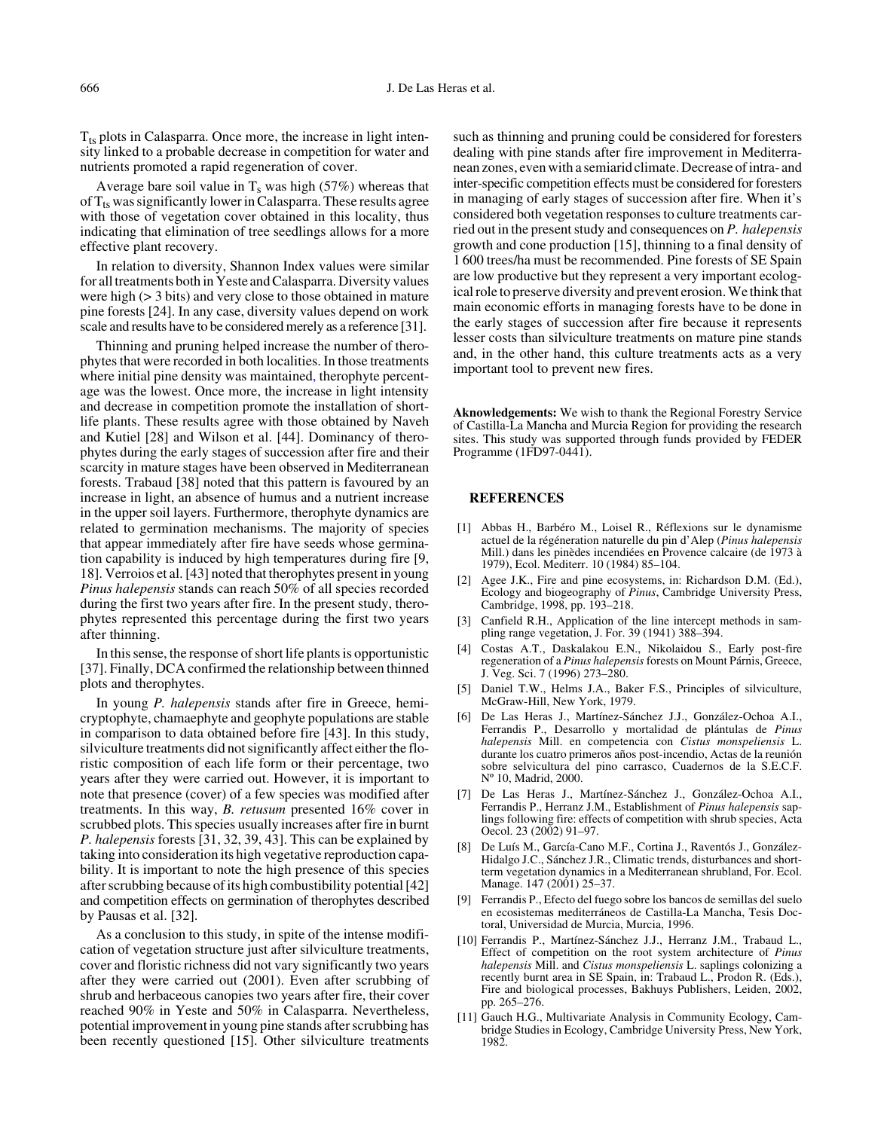$T_{ts}$  plots in Calasparra. Once more, the increase in light intensity linked to a probable decrease in competition for water and nutrients promoted a rapid regeneration of cover.

Average bare soil value in  $T_s$  was high (57%) whereas that of  $T_{ts}$  was significantly lower in Calasparra. These results agree with those of vegetation cover obtained in this locality, thus indicating that elimination of tree seedlings allows for a more effective plant recovery.

In relation to diversity, Shannon Index values were similar for all treatments both in Yeste and Calasparra. Diversity values were high (> 3 bits) and very close to those obtained in mature pine forests [24]. In any case, diversity values depend on work scale and results have to be considered merely as a reference [31].

Thinning and pruning helped increase the number of therophytes that were recorded in both localities. In those treatments where initial pine density was maintained, therophyte percentage was the lowest. Once more, the increase in light intensity and decrease in competition promote the installation of shortlife plants. These results agree with those obtained by Naveh and Kutiel [28] and Wilson et al. [44]. Dominancy of therophytes during the early stages of succession after fire and their scarcity in mature stages have been observed in Mediterranean forests. Trabaud [38] noted that this pattern is favoured by an increase in light, an absence of humus and a nutrient increase in the upper soil layers. Furthermore, therophyte dynamics are related to germination mechanisms. The majority of species that appear immediately after fire have seeds whose germination capability is induced by high temperatures during fire [9, 18]. Verroios et al. [43] noted that therophytes present in young *Pinus halepensis* stands can reach 50% of all species recorded during the first two years after fire. In the present study, therophytes represented this percentage during the first two years after thinning.

In this sense, the response of short life plants is opportunistic [37]. Finally, DCA confirmed the relationship between thinned plots and therophytes.

In young *P. halepensis* stands after fire in Greece, hemicryptophyte, chamaephyte and geophyte populations are stable in comparison to data obtained before fire [43]. In this study, silviculture treatments did not significantly affect either the floristic composition of each life form or their percentage, two years after they were carried out. However, it is important to note that presence (cover) of a few species was modified after treatments. In this way, *B. retusum* presented 16% cover in scrubbed plots. This species usually increases after fire in burnt *P. halepensis* forests [31, 32, 39, 43]. This can be explained by taking into consideration its high vegetative reproduction capability. It is important to note the high presence of this species after scrubbing because of its high combustibility potential [42] and competition effects on germination of therophytes described by Pausas et al. [32].

As a conclusion to this study, in spite of the intense modification of vegetation structure just after silviculture treatments, cover and floristic richness did not vary significantly two years after they were carried out (2001). Even after scrubbing of shrub and herbaceous canopies two years after fire, their cover reached 90% in Yeste and 50% in Calasparra. Nevertheless, potential improvement in young pine stands after scrubbing has been recently questioned [15]. Other silviculture treatments such as thinning and pruning could be considered for foresters dealing with pine stands after fire improvement in Mediterranean zones, even with a semiarid climate. Decrease of intra- and inter-specific competition effects must be considered for foresters in managing of early stages of succession after fire. When it's considered both vegetation responses to culture treatments carried out in the present study and consequences on *P. halepensis* growth and cone production [15], thinning to a final density of 1 600 trees/ha must be recommended. Pine forests of SE Spain are low productive but they represent a very important ecological role to preserve diversity and prevent erosion. We think that main economic efforts in managing forests have to be done in the early stages of succession after fire because it represents lesser costs than silviculture treatments on mature pine stands and, in the other hand, this culture treatments acts as a very important tool to prevent new fires.

**Aknowledgements:** We wish to thank the Regional Forestry Service of Castilla-La Mancha and Murcia Region for providing the research sites. This study was supported through funds provided by FEDER Programme (1FD97-0441).

#### **REFERENCES**

- [1] Abbas H., Barbéro M., Loisel R., Réflexions sur le dynamisme actuel de la régéneration naturelle du pin d'Alep (*Pinus halepensis* Mill.) dans les pinèdes incendiées en Provence calcaire (de 1973 à 1979), Ecol. Mediterr. 10 (1984) 85–104.
- [2] Agee J.K., Fire and pine ecosystems, in: Richardson D.M. (Ed.), Ecology and biogeography of *Pinus*, Cambridge University Press, Cambridge, 1998, pp. 193–218.
- [3] Canfield R.H., Application of the line intercept methods in sampling range vegetation, J. For. 39 (1941) 388–394.
- [4] Costas A.T., Daskalakou E.N., Nikolaidou S., Early post-fire regeneration of a *Pinus halepensis* forests on Mount Párnis, Greece, J. Veg. Sci. 7 (1996) 273–280.
- [5] Daniel T.W., Helms J.A., Baker F.S., Principles of silviculture, McGraw-Hill, New York, 1979.
- [6] De Las Heras J., Martínez-Sánchez J.J., González-Ochoa A.I., Ferrandis P., Desarrollo y mortalidad de plántulas de *Pinus halepensis* Mill. en competencia con *Cistus monspeliensis* L. durante los cuatro primeros años post-incendio, Actas de la reunión sobre selvicultura del pino carrasco, Cuadernos de la S.E.C.F. Nº 10, Madrid, 2000.
- [7] De Las Heras J., Martínez-Sánchez J., González-Ochoa A.I., Ferrandis P., Herranz J.M., Establishment of *Pinus halepensis* saplings following fire: effects of competition with shrub species, Acta Oecol. 23 (2002) 91–97.
- [8] De Luís M., García-Cano M.F., Cortina J., Raventós J., González-Hidalgo J.C., Sánchez J.R., Climatic trends, disturbances and shortterm vegetation dynamics in a Mediterranean shrubland, For. Ecol. Manage. 147 (2001) 25–37.
- [9] Ferrandis P., Efecto del fuego sobre los bancos de semillas del suelo en ecosistemas mediterráneos de Castilla-La Mancha, Tesis Doctoral, Universidad de Murcia, Murcia, 1996.
- [10] Ferrandis P., Martínez-Sánchez J.J., Herranz J.M., Trabaud L., Effect of competition on the root system architecture of *Pinus halepensis* Mill. and *Cistus monspeliensis* L. saplings colonizing a recently burnt area in SE Spain, in: Trabaud L., Prodon R. (Eds.), Fire and biological processes, Bakhuys Publishers, Leiden, 2002, pp. 265–276.
- [11] Gauch H.G., Multivariate Analysis in Community Ecology, Cambridge Studies in Ecology, Cambridge University Press, New York, 1982.